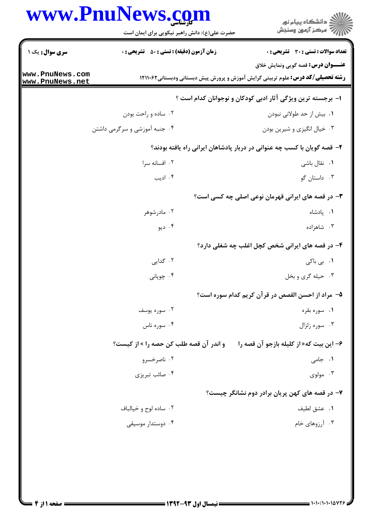## www.PnuNews.com

|                                  | www.PnuNews.com<br>حضرت علی(ع): دانش راهبر نیکویی برای ایمان است | ڪ دانشڪاه پيام نور<br>/7 مرڪز آزمون وسنڊش                                                                                           |
|----------------------------------|------------------------------------------------------------------|-------------------------------------------------------------------------------------------------------------------------------------|
| <b>سری سوال :</b> یک ۱           | <b>زمان آزمون (دقیقه) : تستی : 50 ٪ تشریحی : 0</b>               | تعداد سوالات : تستى : 30 قشريحى : 0                                                                                                 |
| ww.PnuNews.com<br>ww.PnuNews.net |                                                                  | <b>عنـــوان درس:</b> قصه گویی ونمایش خلاق<br><b>رشته تحصیلی/کد درس:</b> علوم تربیتی گرایش آموزش و پرورش پیش دبستانی ودبستانی1۲۱۱۰۶۲ |
|                                  |                                                                  | ا– برجسته ترین ویژگی آثار ادبی کودکان و نوجوانان کدام است ؟                                                                         |
|                                  | ۰۲ ساده و راحت بودن                                              | ۰۱ بیش از حد طولانی نبودن                                                                                                           |
|                                  | ۰۴ جنبه آموزشی و سرگرمی داشتن                                    | ۰۳ خیال انگیزی و شیرین بودن                                                                                                         |
|                                  |                                                                  | ۲- قصه گویان با کسب چه عنوانی در دربار پادشاهان ایرانی راه یافته بودند؟                                                             |
|                                  | ۰۲ افسانه سرا                                                    | ۰۱ نقال باشی                                                                                                                        |
|                                  | ۰۴ ادیب                                                          | ۰۳ داستان گو                                                                                                                        |
|                                  |                                                                  | ۳- در قصه های ایرانی قهرمان نوعی اصلی چه کسی است؟                                                                                   |
|                                  | ۰۲ مادرشوهر                                                      | ۰۱ پادشاه                                                                                                                           |
|                                  | ۰۴ ديو                                                           | ۰۳ شاهزاده                                                                                                                          |
|                                  |                                                                  | ۴- در قصه های ایرانی شخص کچل اغلب چه شغلی دارد؟                                                                                     |
|                                  | ۰۲ گدایی                                                         | ۰۱ بی باکی                                                                                                                          |
|                                  | ۰۴ چوپانی                                                        | ۰۳ حیله گری و بخل                                                                                                                   |
|                                  |                                                                  | ۵– مراد از احسن القصص در قرآن کریم کدام سوره است؟                                                                                   |
|                                  | ۰۲ سوره یوسف                                                     | ۰۱ سوره بقره                                                                                                                        |
|                                  | ۰۴ سوره ناس                                                      | ۰۳ سوره زلزال                                                                                                                       |
|                                  | و اندر آن قصه طلب کن حصه را » از کیست؟                           | ۶- این بیت که«از کلیله بازجو آن قصه را                                                                                              |
|                                  | ۰۲ ناصرخسرو                                                      | ۰۱ جامی                                                                                                                             |
|                                  | ۰۴ صائب تبریزی                                                   | ۰۳ مولوی                                                                                                                            |
|                                  |                                                                  | ۷- در قصه های کهن پریان برادر دوم نشانگر چیست؟                                                                                      |
|                                  | ۰۲ ساده لوح و خيالباف                                            | ٠١. عشق لطيف                                                                                                                        |
|                                  | ۰۴ دوستدار موسیقی                                                | ۰۳ آرزوهای خام                                                                                                                      |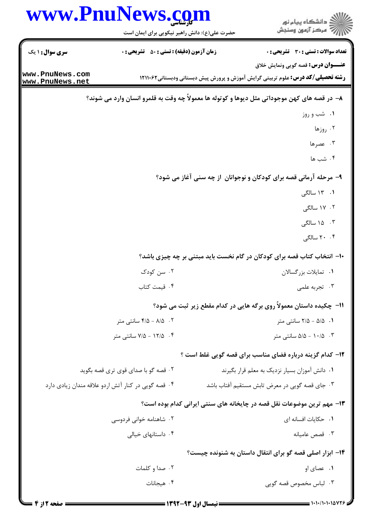|                                                                                              | www.PnuNews.com<br>حضرت علی(ع): دانش راهبر نیکویی برای ایمان است |  | ڪ دانشڪاه پيا <sub>م</sub> نور<br>∕7 مرڪز آزمون وسنڊش                                  |  |
|----------------------------------------------------------------------------------------------|------------------------------------------------------------------|--|----------------------------------------------------------------------------------------|--|
| <b>سری سوال : ۱ یک</b>                                                                       | <b>زمان آزمون (دقیقه) : تستی : 50 ٪ تشریحی : 0</b>               |  | <b>تعداد سوالات : تستی : 30 ٪ تشریحی : 0</b>                                           |  |
| www.PnuNews.com                                                                              |                                                                  |  | <b>عنـــوان درس:</b> قصه گویی ونمایش خلاق                                              |  |
| www.PnuNews.net                                                                              |                                                                  |  | <b>رشته تحصیلی/کد درس:</b> علوم تربیتی گرایش آموزش و پرورش پیش دبستانی ودبستانی1۲۱۱۰۶۲ |  |
| ۸– در قصه های کهن موجوداتی مثل دیوها و کوتوله ها معمولاً چه وقت به قلمرو انسان وارد می شوند؟ |                                                                  |  |                                                                                        |  |
|                                                                                              |                                                                  |  | ۰۱ شب و روز                                                                            |  |
|                                                                                              |                                                                  |  | ۰۲ روزها                                                                               |  |
|                                                                                              |                                                                  |  | ۰۳ عصرها                                                                               |  |
|                                                                                              |                                                                  |  | ۰۴ شب ها                                                                               |  |
|                                                                                              |                                                                  |  | ۹- مرحله آرمانی قصه برای کودکان و نوجوانان از چه سنی آغاز می شود؟                      |  |
|                                                                                              |                                                                  |  | ۱. ۱۳ سالگی                                                                            |  |
|                                                                                              |                                                                  |  | ۰۲ سالگی                                                                               |  |
|                                                                                              |                                                                  |  | ۰۳ ۱۵ سالگی                                                                            |  |
|                                                                                              |                                                                  |  | ۲۰ ۲۰ سالگی                                                                            |  |
|                                                                                              |                                                                  |  | ∙۱− انتخاب کتاب قصه برای کودکان در گام نخست باید مبتنی بر چه چیزی باشد؟                |  |
|                                                                                              | ۰۲ سن کودک                                                       |  | ٠١ تمايلات بزرگسالان                                                                   |  |
|                                                                                              | ۰۴ قیمت کتاب                                                     |  | ۰۳ تجربه علمی                                                                          |  |
|                                                                                              |                                                                  |  | 11- چکیده داستان معمولاً روی برگه هایی در کدام مقطع زیر ثبت می شود؟                    |  |
|                                                                                              | ۰۲ ه/۸ - ۴/۵ سانتی متر                                           |  | ۰۱ ه/۵ - ۲/۵ سانتی متر                                                                 |  |
|                                                                                              | ۰۴ ـ ۷/۵ - ۷/۵ سانتی متر                                         |  | $\Delta/\Delta - 1 \cdot \Delta$ سانتی متر $\Delta/2 - 1 \cdot \Delta$                 |  |
|                                                                                              |                                                                  |  | ۱۲- کدام گزینه درباره فضای مناسب برای قصه گویی غلط است ؟                               |  |
|                                                                                              | ۰۲ قصه گو با صدای قوی تری قصه بگوید                              |  | ٠١ دانش آموزان بسيار نزديك به معلم قرار بگيرند                                         |  |
|                                                                                              | ۰۴ قصه گویی در کنار آتش اردو علاقه مندان زیادی دارد              |  | ۰۳ جای قصه گویی در معرض تابش مستقیم آفتاب باشد                                         |  |
|                                                                                              |                                                                  |  | ۱۳- مهم ترین موضوعات نقل قصه در چایخانه های سنتی ایرانی کدام بوده است؟                 |  |
|                                                                                              | ۰۲ شاهنامه خوانی فردوسی                                          |  | ٠١. حكايات افسانه اي                                                                   |  |
|                                                                                              | ۰۴ داستانهای خیالی                                               |  | ۰۳ قصص عامیانه                                                                         |  |
|                                                                                              |                                                                  |  | ۰۱۴ ابزار اصلی قصه گو برای انتقال داستان به شنونده چیست؟                               |  |
|                                                                                              | ۰۲ صدا و کلمات                                                   |  | ۰۱ عصای او                                                                             |  |
|                                                                                              | ۰۴ هیجانات                                                       |  | ۰۳ لباس مخصوص قصه گویی                                                                 |  |
| = 4 مفحه 12: 4 =                                                                             |                                                                  |  |                                                                                        |  |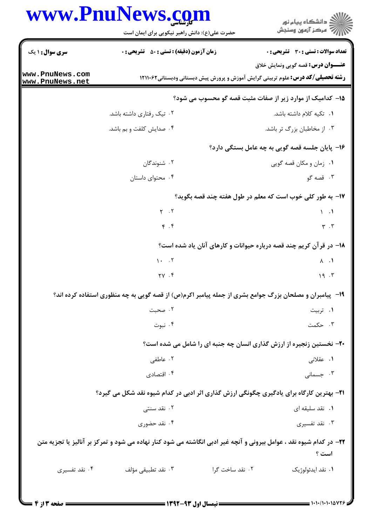|                                    | www.PnuNews.com<br>حضرت علی(ع): دانش راهبر نیکویی برای ایمان است | ِ<br>∭ دانشڪاه پيام نور<br>∭ مرڪز آزمون وسنڊش                                                                                |
|------------------------------------|------------------------------------------------------------------|------------------------------------------------------------------------------------------------------------------------------|
| سری سوال: ۱ یک                     | <b>زمان آزمون (دقیقه) : تستی : 50 ٪ تشریحی : 0</b>               | تعداد سوالات : تستى : 30 ٪ تشريحي : 0                                                                                        |
|                                    |                                                                  | <b>عنـــوان درس:</b> قصه گویی ونمایش خلاق                                                                                    |
| www.PnuNews.com<br>www.PnuNews.net |                                                                  | <b>رشته تحصیلی/کد درس:</b> علوم تربیتی گرایش آموزش و پرورش پیش دبستانی ودبستانی1۲۱۱۰۶۲                                       |
|                                    |                                                                  | 1۵– کدامیک از موارد زیر از صفات مثبت قصه گو محسوب می شود؟                                                                    |
|                                    | ۰۲ تیک رفتاری داشته باشد.                                        | ۰۱ تکیه کلام داشته باشد.                                                                                                     |
|                                    | ۰۴ صدایش کلفت و بم باشد.                                         | ۰۳ از مخاطبان بزرگ تر باشد.                                                                                                  |
|                                    |                                                                  | ۱۶– پایان جلسه قصه گویی به چه عامل بستگی دارد؟                                                                               |
|                                    | ۰۲ شنوندگان                                                      | ٠١ زمان و مكان قصه گويي                                                                                                      |
|                                    | ۰۴ محتوای داستان                                                 | ۰۳ قصه گو                                                                                                                    |
|                                    |                                                                  | ۱۷- به طور کلی خوب است که معلم در طول هفته چند قصه بگوید؟                                                                    |
|                                    | $Y \cdot Y$                                                      | $\setminus$ $\setminus$                                                                                                      |
|                                    | $\mathfrak{f}$ . $\mathfrak{f}$                                  | $\mathbf{r}$ . $\mathbf{r}$                                                                                                  |
|                                    |                                                                  | ۱۸- در قرآن کریم چند قصه درباره حیوانات و کارهای آنان یاد شده است؟                                                           |
|                                    | $1 - .7$                                                         | $\lambda$ . $\lambda$                                                                                                        |
|                                    | 7V . F                                                           | 19.7                                                                                                                         |
|                                    |                                                                  | ۱۹- پیامبران و مصلحان بزرگ جوامع بشری از جمله پیامبر اکرم(ص) از قصه گویی به چه منظوری استفاده کرده اند؟                      |
|                                    | ۰۲ صحبت                                                          | ۰۱ تربیت                                                                                                                     |
|                                    | ۰۴ نبوت                                                          | ۰۳ حکمت                                                                                                                      |
|                                    |                                                                  | <b>۲۰</b> - نخستین زنجیره از ارزش گذاری انسان چه جنبه ای را شامل می شده است؟                                                 |
|                                    | ۰۲ عاطفی                                                         | ۰۱ عقلان <sub>ی</sub>                                                                                                        |
|                                    | ۰۴ اقتصادی                                                       | ۰۳ جسمانی                                                                                                                    |
|                                    |                                                                  | <b>۲۱</b> - بهترین کارگاه برای یادگیری چگونگی ارزش گذاری اثر ادبی در کدام شیوه نقد شکل می گیرد؟                              |
|                                    | ۰۲ نقد سنتی                                                      | ۰۱ نقد سلیقه ای                                                                                                              |
|                                    | ۰۴ نقد حضوری                                                     | ۰۳ نقد تفسیری                                                                                                                |
|                                    |                                                                  | ۲۲- در کدام شیوه نقد ، عوامل بیرونی و آنچه غیر ادبی انگاشته می شود کنار نهاده می شود و تمرکز بر آنالیز یا تجزیه متن<br>است ؟ |
| ۰۴ نقد تفسیری                      | ۰۳ نقد تطبيقي مؤلف                                               | ۰۲ نقد ساخت گرا<br>۰۱ نقد ايدئولوژيک                                                                                         |
|                                    |                                                                  |                                                                                                                              |